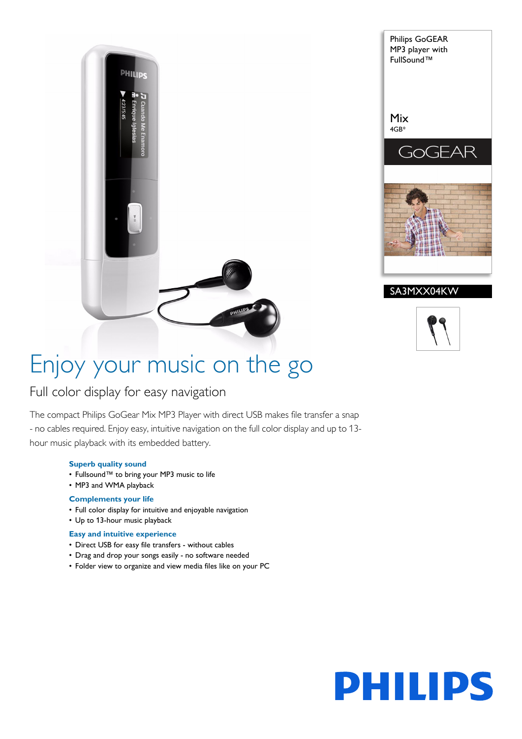



# Enjoy your music on the go

# Full color display for easy navigation

The compact Philips GoGear Mix MP3 Player with direct USB makes file transfer a snap - no cables required. Enjoy easy, intuitive navigation on the full color display and up to 13 hour music playback with its embedded battery.

### **Superb quality sound**

- Fullsound™ to bring your MP3 music to life
- MP3 and WMA playback

#### **Complements your life**

- Full color display for intuitive and enjoyable navigation
- Up to 13-hour music playback

# **Easy and intuitive experience**

- Direct USB for easy file transfers without cables
- Drag and drop your songs easily no software needed
- Folder view to organize and view media files like on your PC

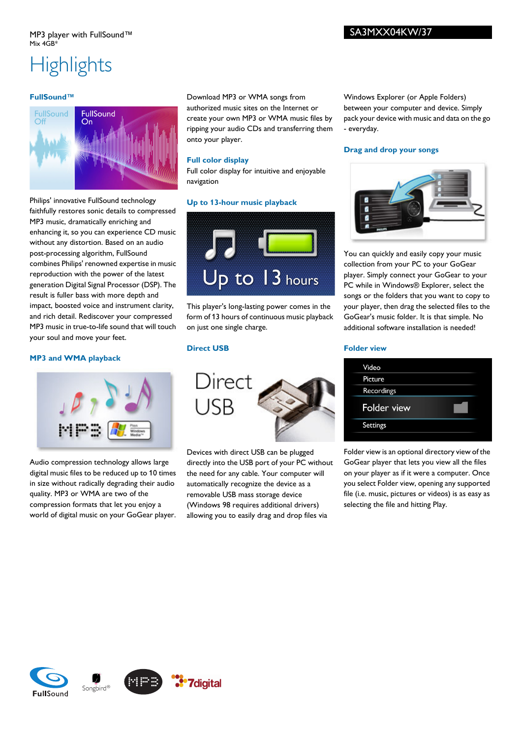# **Highlights**

#### **FullSound™**



Philips' innovative FullSound technology faithfully restores sonic details to compressed MP3 music, dramatically enriching and enhancing it, so you can experience CD music without any distortion. Based on an audio post-processing algorithm, FullSound combines Philips' renowned expertise in music reproduction with the power of the latest generation Digital Signal Processor (DSP). The result is fuller bass with more depth and impact, boosted voice and instrument clarity, and rich detail. Rediscover your compressed MP3 music in true-to-life sound that will touch your soul and move your feet.

## **MP3 and WMA playback**



Audio compression technology allows large digital music files to be reduced up to 10 times in size without radically degrading their audio quality. MP3 or WMA are two of the compression formats that let you enjoy a world of digital music on your GoGear player.

Download MP3 or WMA songs from authorized music sites on the Internet or create your own MP3 or WMA music files by ripping your audio CDs and transferring them onto your player.

Full color display for intuitive and enjoyable

**Up to 13-hour music playback**

Windows Explorer (or Apple Folders) between your computer and device. Simply pack your device with music and data on the go - everyday.

#### **Drag and drop your songs**



You can quickly and easily copy your music collection from your PC to your GoGear player. Simply connect your GoGear to your PC while in Windows® Explorer, select the songs or the folders that you want to copy to your player, then drag the selected files to the GoGear's music folder. It is that simple. No additional software installation is needed!

## **Direct USB**

on just one single charge.

**Full color display**

navigation



This player's long-lasting power comes in the form of 13 hours of continuous music playback

Up to 13 hours

Devices with direct USB can be plugged directly into the USB port of your PC without the need for any cable. Your computer will automatically recognize the device as a removable USB mass storage device (Windows 98 requires additional drivers) allowing you to easily drag and drop files via

#### **Folder view**

Folder view is an optional directory view of the GoGear player that lets you view all the files on your player as if it were a computer. Once you select Folder view, opening any supported file (i.e. music, pictures or videos) is as easy as selecting the file and hitting Play.

SA3MXX04KW/37







**7**digital